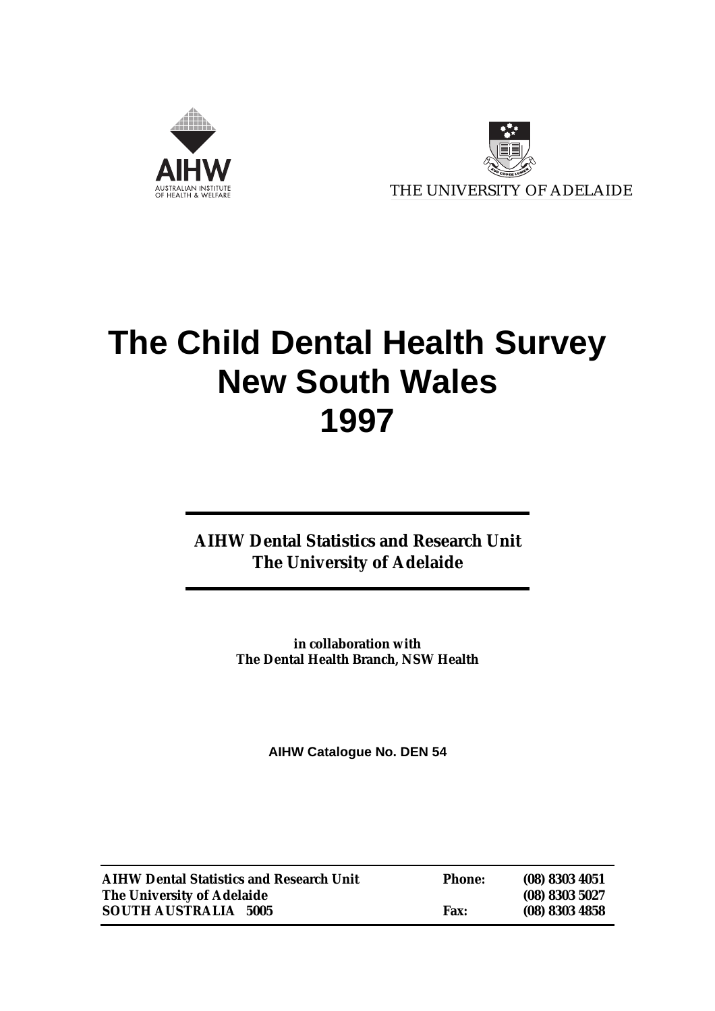



# **The Child Dental Health Survey New South Wales 1997**

**AIHW Dental Statistics and Research Unit The University of Adelaide**

> **in collaboration with The Dental Health Branch, NSW Health**

> > **AIHW Catalogue No. DEN 54**

| <b>AIHW Dental Statistics and Research Unit</b> | <b>Phone:</b> | $(08)$ 8303 4051 |
|-------------------------------------------------|---------------|------------------|
| The University of Adelaide                      |               | (08) 8303 5027   |
| <b>SOUTH AUSTRALIA 5005</b>                     | <b>Fax:</b>   | $(08)$ 8303 4858 |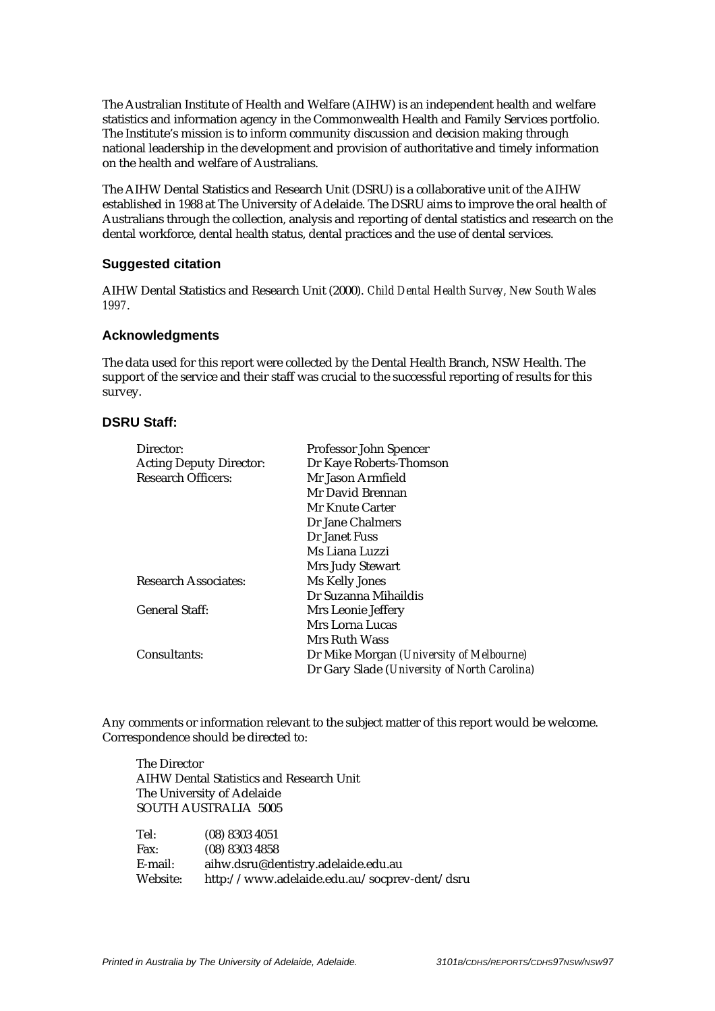The Australian Institute of Health and Welfare (AIHW) is an independent health and welfare statistics and information agency in the Commonwealth Health and Family Services portfolio. The Institute's mission is to inform community discussion and decision making through national leadership in the development and provision of authoritative and timely information on the health and welfare of Australians.

The AIHW Dental Statistics and Research Unit (DSRU) is a collaborative unit of the AIHW established in 1988 at The University of Adelaide. The DSRU aims to improve the oral health of Australians through the collection, analysis and reporting of dental statistics and research on the dental workforce, dental health status, dental practices and the use of dental services.

#### **Suggested citation**

AIHW Dental Statistics and Research Unit (2000). *Child Dental Health Survey, New South Wales 1997*.

#### **Acknowledgments**

The data used for this report were collected by the Dental Health Branch, NSW Health. The support of the service and their staff was crucial to the successful reporting of results for this survey.

#### **DSRU Staff:**

| Director:                      | Professor John Spencer                       |
|--------------------------------|----------------------------------------------|
| <b>Acting Deputy Director:</b> | Dr Kaye Roberts-Thomson                      |
| <b>Research Officers:</b>      | Mr Jason Armfield                            |
|                                | Mr David Brennan                             |
|                                | Mr Knute Carter                              |
|                                | Dr Jane Chalmers                             |
|                                | Dr Janet Fuss                                |
|                                | Ms Liana Luzzi                               |
|                                | Mrs Judy Stewart                             |
| <b>Research Associates:</b>    | Ms Kelly Jones                               |
|                                | Dr Suzanna Mihaildis                         |
| <b>General Staff:</b>          | Mrs Leonie Jeffery                           |
|                                | Mrs Lorna Lucas                              |
|                                | Mrs Ruth Wass                                |
| Consultants:                   | Dr Mike Morgan (University of Melbourne)     |
|                                | Dr Gary Slade (University of North Carolina) |

Any comments or information relevant to the subject matter of this report would be welcome. Correspondence should be directed to:

The Director AIHW Dental Statistics and Research Unit The University of Adelaide SOUTH AUSTRALIA 5005

| Tel:     | $(08)$ 8303 4051                             |
|----------|----------------------------------------------|
| Fax:     | $(08)$ 8303 4858                             |
| E-mail:  | aihw.dsru@dentistry.adelaide.edu.au          |
| Website: | http://www.adelaide.edu.au/socprev-dent/dsru |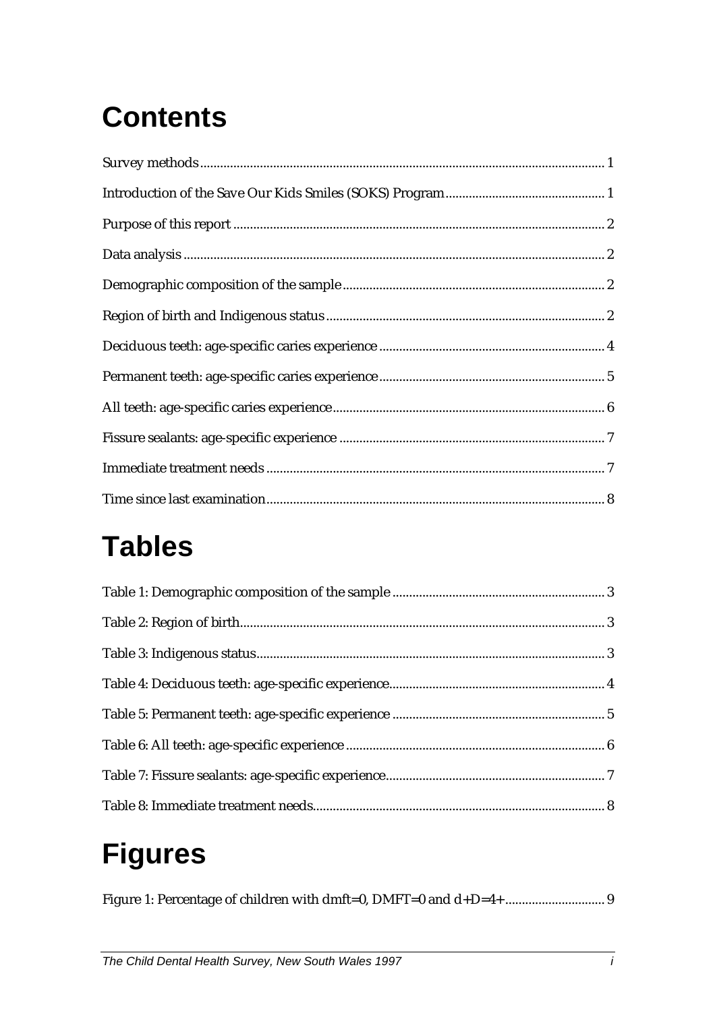# **Contents**

# **Tables**

# **Figures**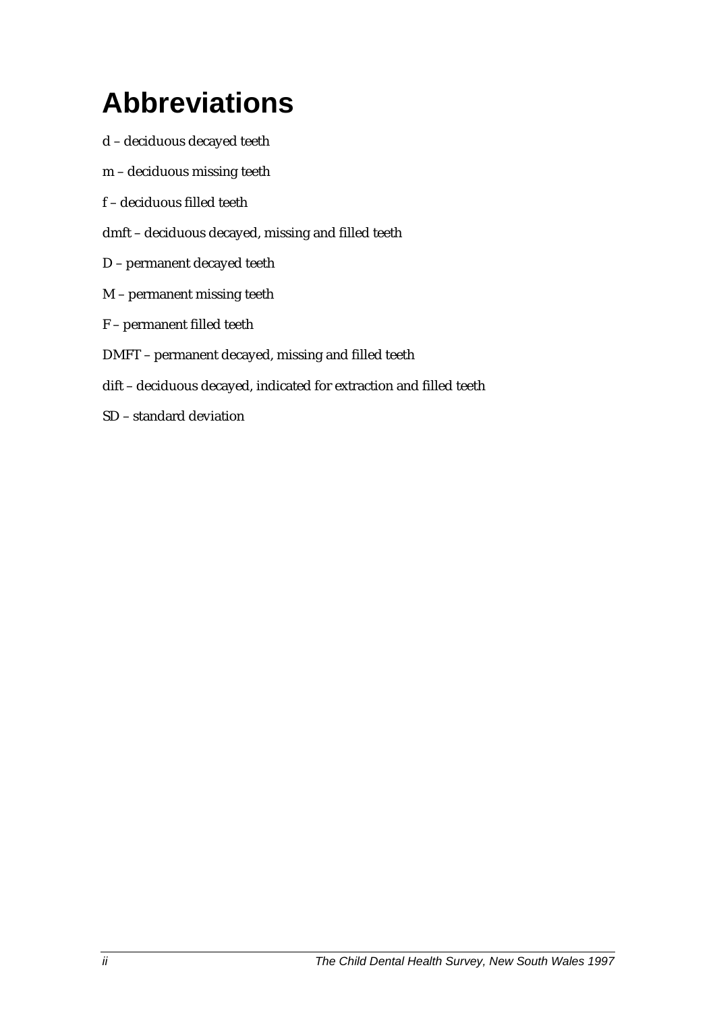# **Abbreviations**

- d deciduous decayed teeth
- m deciduous missing teeth
- f deciduous filled teeth
- dmft deciduous decayed, missing and filled teeth
- D permanent decayed teeth
- M permanent missing teeth
- F permanent filled teeth
- DMFT permanent decayed, missing and filled teeth
- dift deciduous decayed, indicated for extraction and filled teeth
- SD standard deviation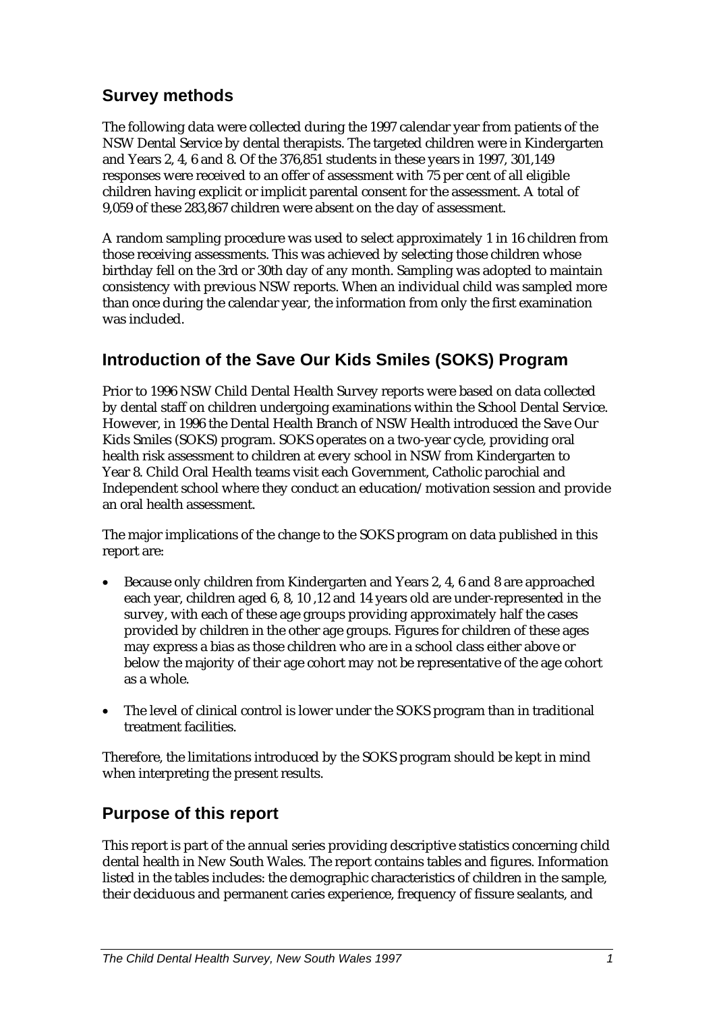## **Survey methods**

The following data were collected during the 1997 calendar year from patients of the NSW Dental Service by dental therapists. The targeted children were in Kindergarten and Years 2, 4, 6 and 8. Of the 376,851 students in these years in 1997, 301,149 responses were received to an offer of assessment with 75 per cent of all eligible children having explicit or implicit parental consent for the assessment. A total of 9,059 of these 283,867 children were absent on the day of assessment.

A random sampling procedure was used to select approximately 1 in 16 children from those receiving assessments. This was achieved by selecting those children whose birthday fell on the 3rd or 30th day of any month. Sampling was adopted to maintain consistency with previous NSW reports. When an individual child was sampled more than once during the calendar year, the information from only the first examination was included.

# **Introduction of the Save Our Kids Smiles (SOKS) Program**

Prior to 1996 NSW Child Dental Health Survey reports were based on data collected by dental staff on children undergoing examinations within the School Dental Service. However, in 1996 the Dental Health Branch of NSW Health introduced the Save Our Kids Smiles (SOKS) program. SOKS operates on a two-year cycle, providing oral health risk assessment to children at every school in NSW from Kindergarten to Year 8. Child Oral Health teams visit each Government, Catholic parochial and Independent school where they conduct an education/motivation session and provide an oral health assessment.

The major implications of the change to the SOKS program on data published in this report are:

- Because only children from Kindergarten and Years 2, 4, 6 and 8 are approached each year, children aged 6, 8, 10 ,12 and 14 years old are under-represented in the survey, with each of these age groups providing approximately half the cases provided by children in the other age groups. Figures for children of these ages may express a bias as those children who are in a school class either above or below the majority of their age cohort may not be representative of the age cohort as a whole.
- The level of clinical control is lower under the SOKS program than in traditional treatment facilities.

Therefore, the limitations introduced by the SOKS program should be kept in mind when interpreting the present results.

## **Purpose of this report**

This report is part of the annual series providing descriptive statistics concerning child dental health in New South Wales. The report contains tables and figures. Information listed in the tables includes: the demographic characteristics of children in the sample, their deciduous and permanent caries experience, frequency of fissure sealants, and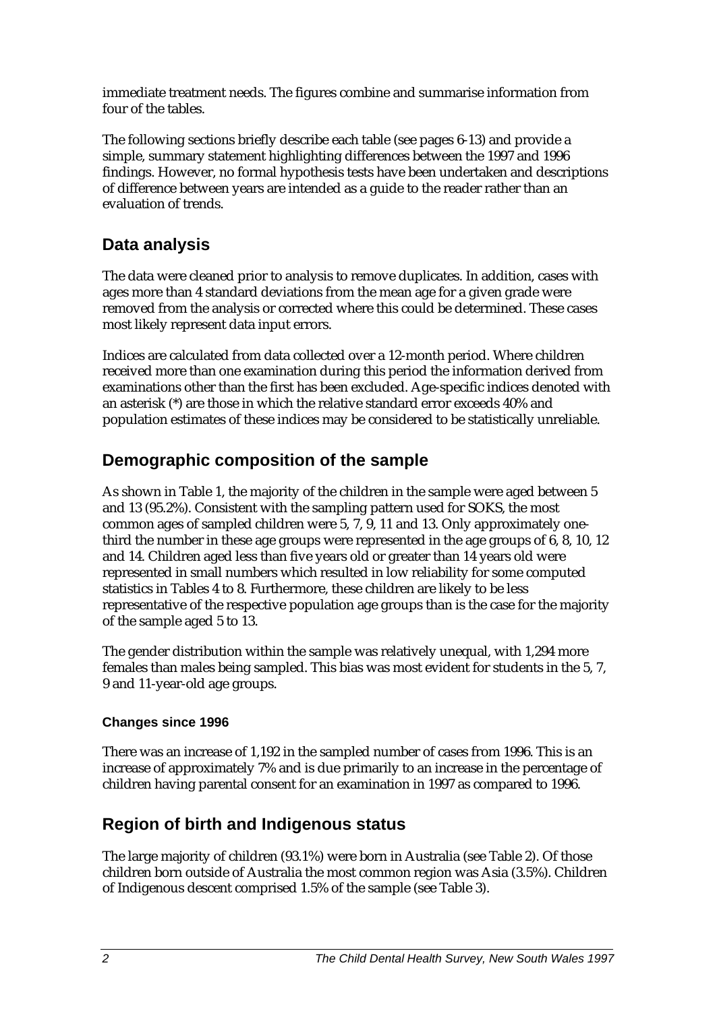immediate treatment needs. The figures combine and summarise information from four of the tables.

The following sections briefly describe each table (see pages 6-13) and provide a simple, summary statement highlighting differences between the 1997 and 1996 findings. However, no formal hypothesis tests have been undertaken and descriptions of difference between years are intended as a guide to the reader rather than an evaluation of trends.

## **Data analysis**

The data were cleaned prior to analysis to remove duplicates. In addition, cases with ages more than 4 standard deviations from the mean age for a given grade were removed from the analysis or corrected where this could be determined. These cases most likely represent data input errors.

Indices are calculated from data collected over a 12-month period. Where children received more than one examination during this period the information derived from examinations other than the first has been excluded. Age-specific indices denoted with an asterisk (\*) are those in which the relative standard error exceeds 40% and population estimates of these indices may be considered to be statistically unreliable.

## **Demographic composition of the sample**

As shown in Table 1, the majority of the children in the sample were aged between 5 and 13 (95.2%). Consistent with the sampling pattern used for SOKS, the most common ages of sampled children were 5, 7, 9, 11 and 13. Only approximately onethird the number in these age groups were represented in the age groups of 6, 8, 10, 12 and 14. Children aged less than five years old or greater than 14 years old were represented in small numbers which resulted in low reliability for some computed statistics in Tables 4 to 8. Furthermore, these children are likely to be less representative of the respective population age groups than is the case for the majority of the sample aged 5 to 13.

The gender distribution within the sample was relatively unequal, with 1,294 more females than males being sampled. This bias was most evident for students in the 5, 7, 9 and 11-year-old age groups.

#### **Changes since 1996**

There was an increase of 1,192 in the sampled number of cases from 1996. This is an increase of approximately 7% and is due primarily to an increase in the percentage of children having parental consent for an examination in 1997 as compared to 1996.

# **Region of birth and Indigenous status**

The large majority of children (93.1%) were born in Australia (see Table 2). Of those children born outside of Australia the most common region was Asia (3.5%). Children of Indigenous descent comprised 1.5% of the sample (see Table 3).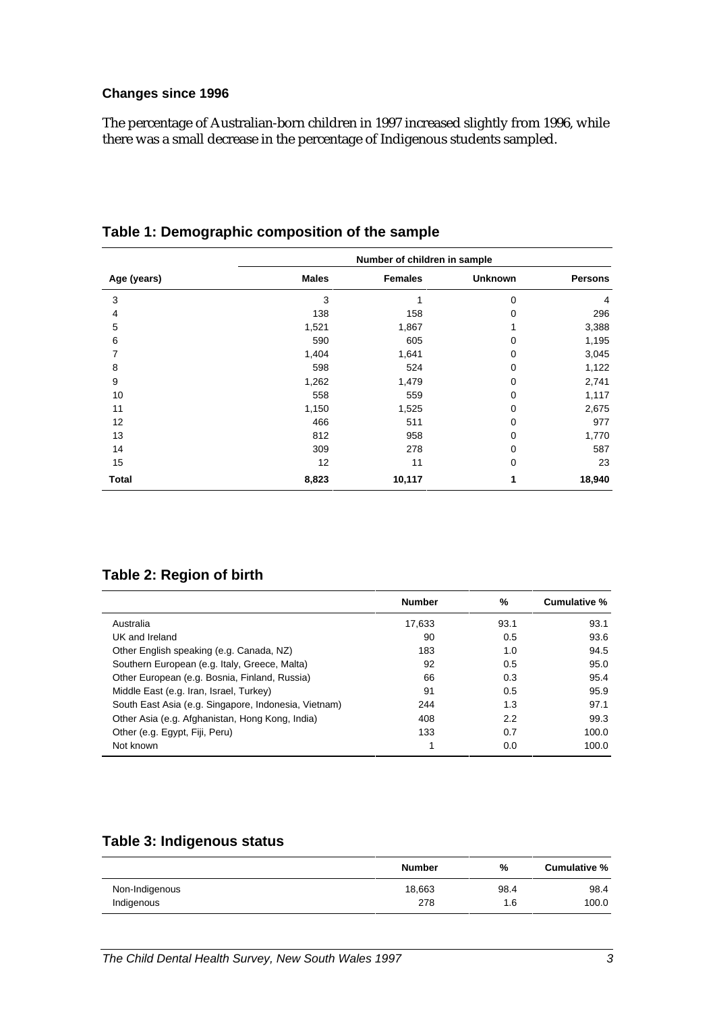#### **Changes since 1996**

The percentage of Australian-born children in 1997 increased slightly from 1996, while there was a small decrease in the percentage of Indigenous students sampled.

|              | Number of children in sample |                |                |                |  |  |  |
|--------------|------------------------------|----------------|----------------|----------------|--|--|--|
| Age (years)  | <b>Males</b>                 | <b>Females</b> | <b>Unknown</b> | <b>Persons</b> |  |  |  |
| 3            | 3                            | 1              | 0              | 4              |  |  |  |
| 4            | 138                          | 158            | 0              | 296            |  |  |  |
| 5            | 1,521                        | 1,867          |                | 3,388          |  |  |  |
| 6            | 590                          | 605            | 0              | 1,195          |  |  |  |
| 7            | 1,404                        | 1,641          | 0              | 3,045          |  |  |  |
| 8            | 598                          | 524            | 0              | 1,122          |  |  |  |
| 9            | 1,262                        | 1,479          | 0              | 2,741          |  |  |  |
| 10           | 558                          | 559            | 0              | 1,117          |  |  |  |
| 11           | 1,150                        | 1,525          | 0              | 2,675          |  |  |  |
| 12           | 466                          | 511            | 0              | 977            |  |  |  |
| 13           | 812                          | 958            | 0              | 1,770          |  |  |  |
| 14           | 309                          | 278            | 0              | 587            |  |  |  |
| 15           | 12                           | 11             | 0              | 23             |  |  |  |
| <b>Total</b> | 8,823                        | 10,117         | 1              | 18,940         |  |  |  |

**Table 1: Demographic composition of the sample**

#### **Table 2: Region of birth**

|                                                      | <b>Number</b> | %    | Cumulative % |
|------------------------------------------------------|---------------|------|--------------|
| Australia                                            | 17.633        | 93.1 | 93.1         |
| UK and Ireland                                       | 90            | 0.5  | 93.6         |
| Other English speaking (e.g. Canada, NZ)             | 183           | 1.0  | 94.5         |
| Southern European (e.g. Italy, Greece, Malta)        | 92            | 0.5  | 95.0         |
| Other European (e.g. Bosnia, Finland, Russia)        | 66            | 0.3  | 95.4         |
| Middle East (e.g. Iran, Israel, Turkey)              | 91            | 0.5  | 95.9         |
| South East Asia (e.g. Singapore, Indonesia, Vietnam) | 244           | 1.3  | 97.1         |
| Other Asia (e.g. Afghanistan, Hong Kong, India)      | 408           | 2.2  | 99.3         |
| Other (e.g. Egypt, Fiji, Peru)                       | 133           | 0.7  | 100.0        |
| Not known                                            | 1             | 0.0  | 100.0        |

### **Table 3: Indigenous status**

|                | <b>Number</b> | %    | Cumulative % |
|----------------|---------------|------|--------------|
| Non-Indigenous | 18,663        | 98.4 | 98.4         |
| Indigenous     | 278           | 1.6  | 100.0        |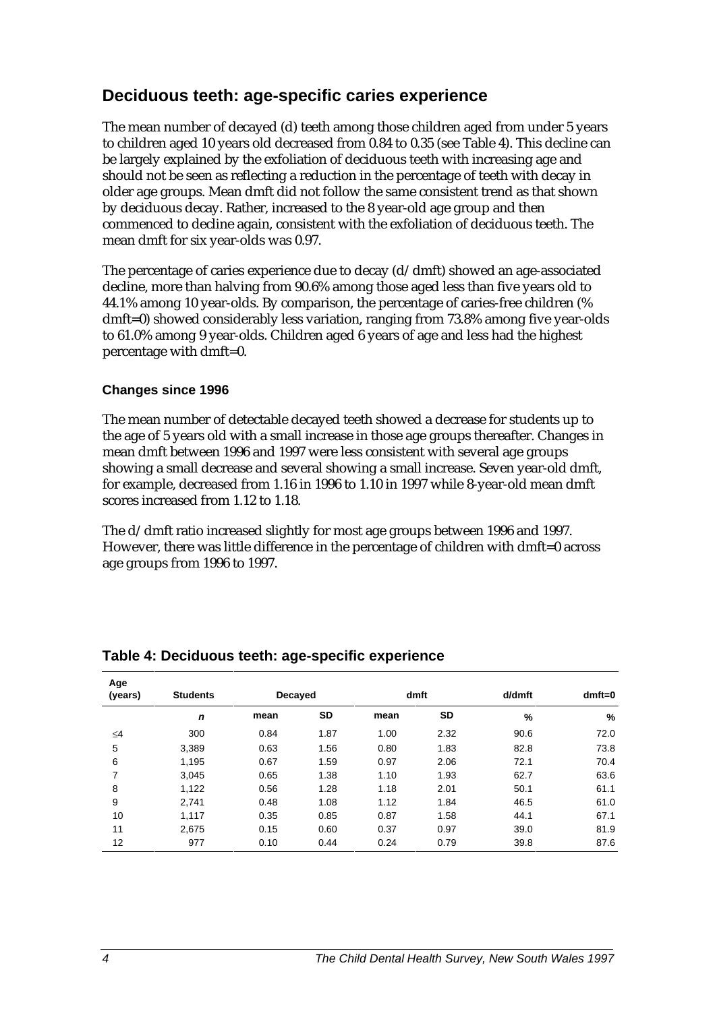### **Deciduous teeth: age-specific caries experience**

The mean number of decayed (d) teeth among those children aged from under 5 years to children aged 10 years old decreased from 0.84 to 0.35 (see Table 4). This decline can be largely explained by the exfoliation of deciduous teeth with increasing age and should not be seen as reflecting a reduction in the percentage of teeth with decay in older age groups. Mean dmft did not follow the same consistent trend as that shown by deciduous decay. Rather, increased to the 8 year-old age group and then commenced to decline again, consistent with the exfoliation of deciduous teeth. The mean dmft for six year-olds was 0.97.

The percentage of caries experience due to decay (d/dmft) showed an age-associated decline, more than halving from 90.6% among those aged less than five years old to 44.1% among 10 year-olds. By comparison, the percentage of caries-free children (% dmft=0) showed considerably less variation, ranging from 73.8% among five year-olds to 61.0% among 9 year-olds. Children aged 6 years of age and less had the highest percentage with dmft=0.

#### **Changes since 1996**

The mean number of detectable decayed teeth showed a decrease for students up to the age of 5 years old with a small increase in those age groups thereafter. Changes in mean dmft between 1996 and 1997 were less consistent with several age groups showing a small decrease and several showing a small increase. Seven year-old dmft, for example, decreased from 1.16 in 1996 to 1.10 in 1997 while 8-year-old mean dmft scores increased from 1.12 to 1.18.

The d/dmft ratio increased slightly for most age groups between 1996 and 1997. However, there was little difference in the percentage of children with dmft=0 across age groups from 1996 to 1997.

| Age<br>(years) | <b>Students</b> | dmft<br>Decayed |      |      | d/dmft    | $dmft=0$ |      |
|----------------|-----------------|-----------------|------|------|-----------|----------|------|
|                | $\mathbf n$     | mean            | SD   | mean | <b>SD</b> | %        | %    |
| ≤4             | 300             | 0.84            | 1.87 | 1.00 | 2.32      | 90.6     | 72.0 |
| 5              | 3,389           | 0.63            | 1.56 | 0.80 | 1.83      | 82.8     | 73.8 |
| 6              | 1,195           | 0.67            | 1.59 | 0.97 | 2.06      | 72.1     | 70.4 |
| 7              | 3,045           | 0.65            | 1.38 | 1.10 | 1.93      | 62.7     | 63.6 |
| 8              | 1,122           | 0.56            | 1.28 | 1.18 | 2.01      | 50.1     | 61.1 |
| 9              | 2.741           | 0.48            | 1.08 | 1.12 | 1.84      | 46.5     | 61.0 |
| 10             | 1,117           | 0.35            | 0.85 | 0.87 | 1.58      | 44.1     | 67.1 |
| 11             | 2,675           | 0.15            | 0.60 | 0.37 | 0.97      | 39.0     | 81.9 |
| 12             | 977             | 0.10            | 0.44 | 0.24 | 0.79      | 39.8     | 87.6 |

#### **Table 4: Deciduous teeth: age-specific experience**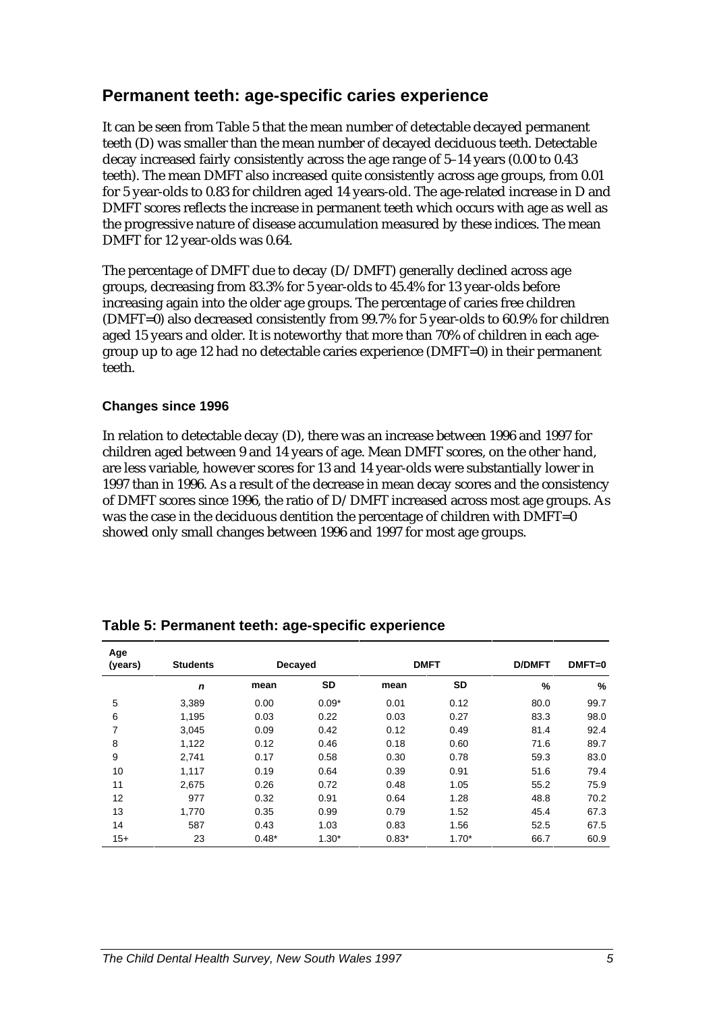### **Permanent teeth: age-specific caries experience**

It can be seen from Table 5 that the mean number of detectable decayed permanent teeth (D) was smaller than the mean number of decayed deciduous teeth. Detectable decay increased fairly consistently across the age range of 5–14 years (0.00 to 0.43 teeth). The mean DMFT also increased quite consistently across age groups, from 0.01 for 5 year-olds to 0.83 for children aged 14 years-old. The age-related increase in D and DMFT scores reflects the increase in permanent teeth which occurs with age as well as the progressive nature of disease accumulation measured by these indices. The mean DMFT for 12 year-olds was 0.64.

The percentage of DMFT due to decay (D/DMFT) generally declined across age groups, decreasing from 83.3% for 5 year-olds to 45.4% for 13 year-olds before increasing again into the older age groups. The percentage of caries free children (DMFT=0) also decreased consistently from 99.7% for 5 year-olds to 60.9% for children aged 15 years and older. It is noteworthy that more than 70% of children in each agegroup up to age 12 had no detectable caries experience (DMFT=0) in their permanent teeth.

#### **Changes since 1996**

In relation to detectable decay (D), there was an increase between 1996 and 1997 for children aged between 9 and 14 years of age. Mean DMFT scores, on the other hand, are less variable, however scores for 13 and 14 year-olds were substantially lower in 1997 than in 1996. As a result of the decrease in mean decay scores and the consistency of DMFT scores since 1996, the ratio of D/DMFT increased across most age groups. As was the case in the deciduous dentition the percentage of children with DMFT=0 showed only small changes between 1996 and 1997 for most age groups.

| Age<br>(years) | <b>Students</b> | <b>DMFT</b><br><b>Decayed</b> |           |         | <b>D/DMFT</b> | $DMFT=0$ |      |
|----------------|-----------------|-------------------------------|-----------|---------|---------------|----------|------|
|                | n               | mean                          | <b>SD</b> | mean    | <b>SD</b>     | %        | %    |
| 5              | 3,389           | 0.00                          | $0.09*$   | 0.01    | 0.12          | 80.0     | 99.7 |
| 6              | 1,195           | 0.03                          | 0.22      | 0.03    | 0.27          | 83.3     | 98.0 |
| 7              | 3,045           | 0.09                          | 0.42      | 0.12    | 0.49          | 81.4     | 92.4 |
| 8              | 1,122           | 0.12                          | 0.46      | 0.18    | 0.60          | 71.6     | 89.7 |
| 9              | 2,741           | 0.17                          | 0.58      | 0.30    | 0.78          | 59.3     | 83.0 |
| 10             | 1.117           | 0.19                          | 0.64      | 0.39    | 0.91          | 51.6     | 79.4 |
| 11             | 2,675           | 0.26                          | 0.72      | 0.48    | 1.05          | 55.2     | 75.9 |
| 12             | 977             | 0.32                          | 0.91      | 0.64    | 1.28          | 48.8     | 70.2 |
| 13             | 1,770           | 0.35                          | 0.99      | 0.79    | 1.52          | 45.4     | 67.3 |
| 14             | 587             | 0.43                          | 1.03      | 0.83    | 1.56          | 52.5     | 67.5 |
| $15+$          | 23              | $0.48*$                       | $1.30*$   | $0.83*$ | $1.70*$       | 66.7     | 60.9 |

**Table 5: Permanent teeth: age-specific experience**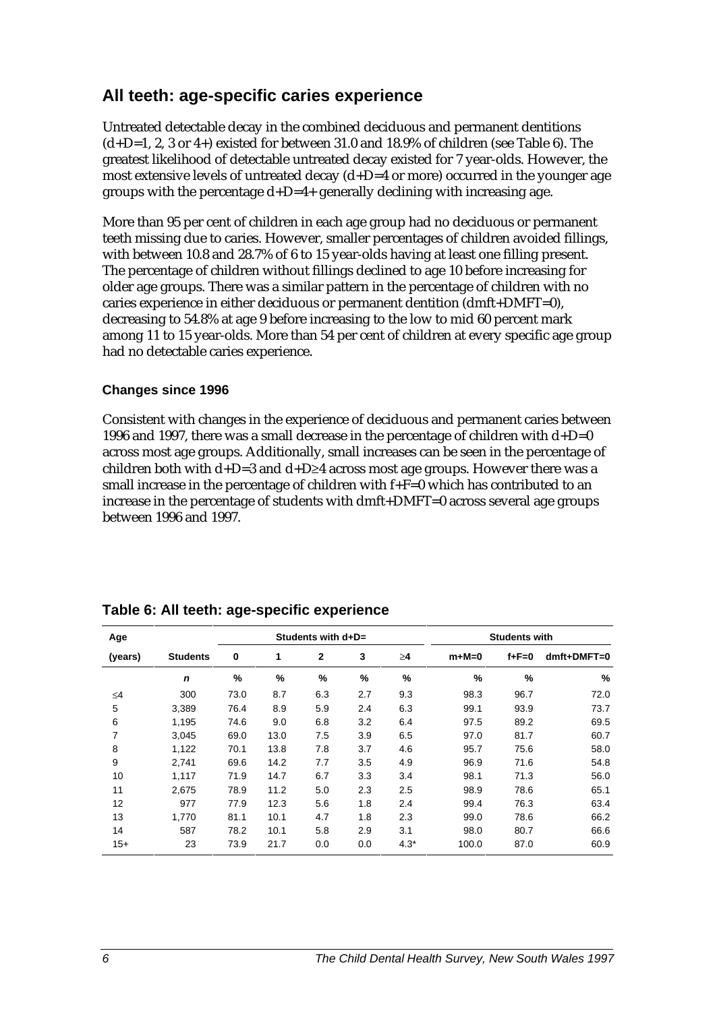## **All teeth: age-specific caries experience**

Untreated detectable decay in the combined deciduous and permanent dentitions  $(d+D=1, 2, 3 \text{ or } 4+)$  existed for between 31.0 and 18.9% of children (see Table 6). The greatest likelihood of detectable untreated decay existed for 7 year-olds. However, the most extensive levels of untreated decay (d+D=4 or more) occurred in the younger age groups with the percentage  $d+D=4+$  generally declining with increasing age.

More than 95 per cent of children in each age group had no deciduous or permanent teeth missing due to caries. However, smaller percentages of children avoided fillings, with between 10.8 and 28.7% of 6 to 15 year-olds having at least one filling present. The percentage of children without fillings declined to age 10 before increasing for older age groups. There was a similar pattern in the percentage of children with no caries experience in either deciduous or permanent dentition (dmft+DMFT=0), decreasing to 54.8% at age 9 before increasing to the low to mid 60 percent mark among 11 to 15 year-olds. More than 54 per cent of children at every specific age group had no detectable caries experience.

#### **Changes since 1996**

Consistent with changes in the experience of deciduous and permanent caries between 1996 and 1997, there was a small decrease in the percentage of children with  $d+D=0$ across most age groups. Additionally, small increases can be seen in the percentage of children both with d+D=3 and d+D≥4 across most age groups. However there was a small increase in the percentage of children with f+F=0 which has contributed to an increase in the percentage of students with dmft+DMFT=0 across several age groups between 1996 and 1997.

| Age      |                 |      | Students with $d+D=$ |              |     |          |         | <b>Students with</b> |               |
|----------|-----------------|------|----------------------|--------------|-----|----------|---------|----------------------|---------------|
| (years)  | <b>Students</b> | 0    | 1                    | $\mathbf{2}$ | 3   | $\geq 4$ | $m+M=0$ | $f + F = 0$          | $dmft+DMFT=0$ |
|          | $\mathbf n$     | %    | %                    | $\%$         | %   | $\%$     | %       | %                    | %             |
| $\leq 4$ | 300             | 73.0 | 8.7                  | 6.3          | 2.7 | 9.3      | 98.3    | 96.7                 | 72.0          |
| 5        | 3,389           | 76.4 | 8.9                  | 5.9          | 2.4 | 6.3      | 99.1    | 93.9                 | 73.7          |
| 6        | 1,195           | 74.6 | 9.0                  | 6.8          | 3.2 | 6.4      | 97.5    | 89.2                 | 69.5          |
| 7        | 3,045           | 69.0 | 13.0                 | 7.5          | 3.9 | 6.5      | 97.0    | 81.7                 | 60.7          |
| 8        | 1,122           | 70.1 | 13.8                 | 7.8          | 3.7 | 4.6      | 95.7    | 75.6                 | 58.0          |
| 9        | 2,741           | 69.6 | 14.2                 | 7.7          | 3.5 | 4.9      | 96.9    | 71.6                 | 54.8          |
| 10       | 1,117           | 71.9 | 14.7                 | 6.7          | 3.3 | 3.4      | 98.1    | 71.3                 | 56.0          |
| 11       | 2,675           | 78.9 | 11.2                 | 5.0          | 2.3 | 2.5      | 98.9    | 78.6                 | 65.1          |
| 12       | 977             | 77.9 | 12.3                 | 5.6          | 1.8 | 2.4      | 99.4    | 76.3                 | 63.4          |
| 13       | 1.770           | 81.1 | 10.1                 | 4.7          | 1.8 | 2.3      | 99.0    | 78.6                 | 66.2          |
| 14       | 587             | 78.2 | 10.1                 | 5.8          | 2.9 | 3.1      | 98.0    | 80.7                 | 66.6          |
| $15+$    | 23              | 73.9 | 21.7                 | 0.0          | 0.0 | $4.3*$   | 100.0   | 87.0                 | 60.9          |

| Table 6: All teeth: age-specific experience |  |  |
|---------------------------------------------|--|--|
|---------------------------------------------|--|--|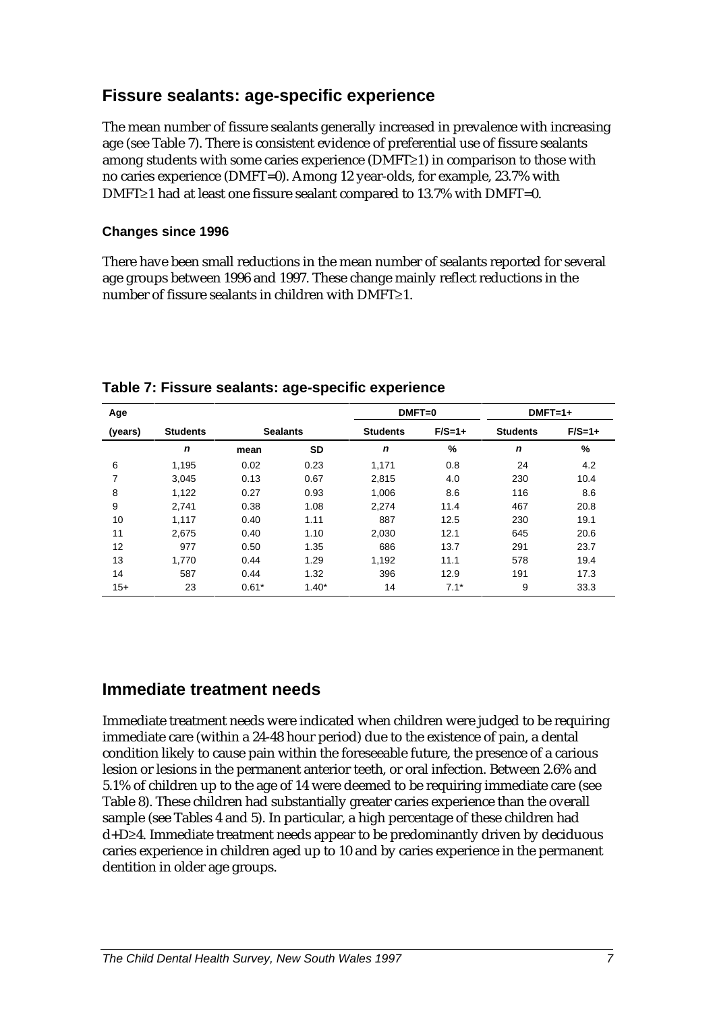## **Fissure sealants: age-specific experience**

The mean number of fissure sealants generally increased in prevalence with increasing age (see Table 7). There is consistent evidence of preferential use of fissure sealants among students with some caries experience (DMFT≥1) in comparison to those with no caries experience (DMFT=0). Among 12 year-olds, for example, 23.7% with DMFT≥1 had at least one fissure sealant compared to 13.7% with DMFT=0.

#### **Changes since 1996**

There have been small reductions in the mean number of sealants reported for several age groups between 1996 and 1997. These change mainly reflect reductions in the number of fissure sealants in children with DMFT≥1.

| Age     |                 |                 |           | $DMFT=0$        |        | $DMFT=1+$       |          |  |
|---------|-----------------|-----------------|-----------|-----------------|--------|-----------------|----------|--|
| (years) | <b>Students</b> | <b>Sealants</b> |           | <b>Students</b> |        | <b>Students</b> | $F/S=1+$ |  |
|         | $\mathbf n$     | mean            | <b>SD</b> | $\mathbf n$     | %      | $\mathbf n$     | %        |  |
| 6       | 1,195           | 0.02            | 0.23      | 1,171           | 0.8    | 24              | 4.2      |  |
| 7       | 3.045           | 0.13            | 0.67      | 2.815           | 4.0    | 230             | 10.4     |  |
| 8       | 1,122           | 0.27            | 0.93      | 1,006           | 8.6    | 116             | 8.6      |  |
| 9       | 2.741           | 0.38            | 1.08      | 2.274           | 11.4   | 467             | 20.8     |  |
| 10      | 1,117           | 0.40            | 1.11      | 887             | 12.5   | 230             | 19.1     |  |
| 11      | 2,675           | 0.40            | 1.10      | 2,030           | 12.1   | 645             | 20.6     |  |
| 12      | 977             | 0.50            | 1.35      | 686             | 13.7   | 291             | 23.7     |  |
| 13      | 1.770           | 0.44            | 1.29      | 1,192           | 11.1   | 578             | 19.4     |  |
| 14      | 587             | 0.44            | 1.32      | 396             | 12.9   | 191             | 17.3     |  |
| $15+$   | 23              | $0.61*$         | $1.40*$   | 14              | $7.1*$ | 9               | 33.3     |  |

**Table 7: Fissure sealants: age-specific experience**

## **Immediate treatment needs**

Immediate treatment needs were indicated when children were judged to be requiring immediate care (within a 24-48 hour period) due to the existence of pain, a dental condition likely to cause pain within the foreseeable future, the presence of a carious lesion or lesions in the permanent anterior teeth, or oral infection. Between 2.6% and 5.1% of children up to the age of 14 were deemed to be requiring immediate care (see Table 8). These children had substantially greater caries experience than the overall sample (see Tables 4 and 5). In particular, a high percentage of these children had d+D≥4. Immediate treatment needs appear to be predominantly driven by deciduous caries experience in children aged up to 10 and by caries experience in the permanent dentition in older age groups.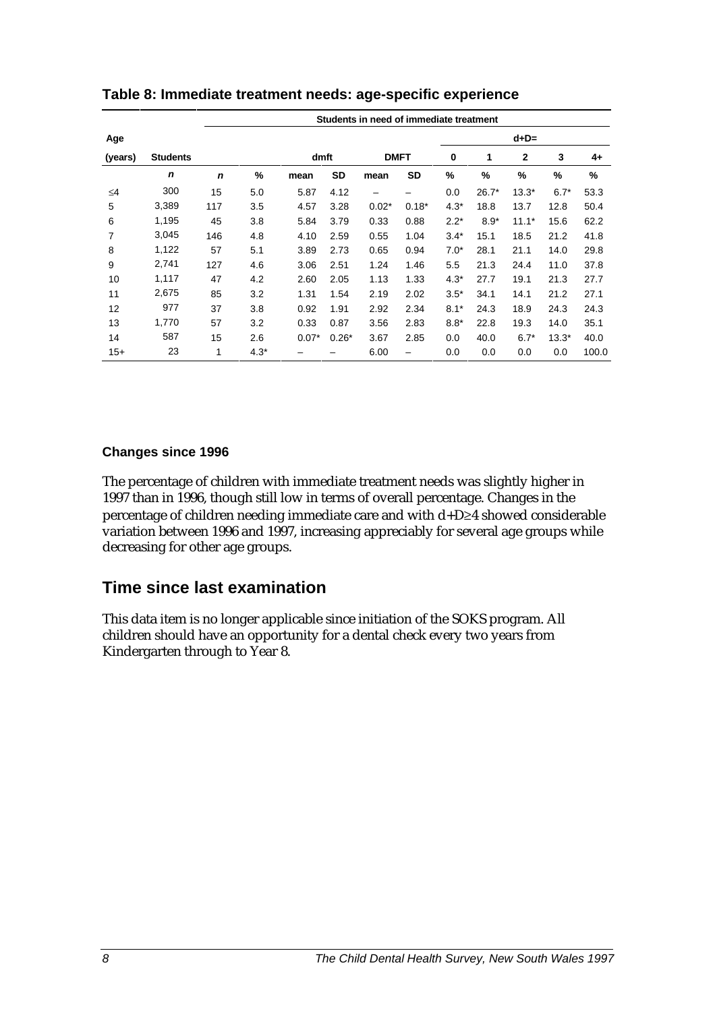|          |                 | Students in need of immediate treatment |        |         |           |             |         |        |         |              |         |       |
|----------|-----------------|-----------------------------------------|--------|---------|-----------|-------------|---------|--------|---------|--------------|---------|-------|
| Age      |                 |                                         |        |         |           |             |         |        |         | $d+D=$       |         |       |
| (years)  | <b>Students</b> |                                         |        | dmft    |           | <b>DMFT</b> |         | 0      | 1       | $\mathbf{2}$ | 3       | $4+$  |
|          | n               | $\mathbf n$                             | %      | mean    | <b>SD</b> | mean        | SD      | %      | %       | %            | %       | %     |
| $\leq 4$ | 300             | 15                                      | 5.0    | 5.87    | 4.12      | -           |         | 0.0    | $26.7*$ | $13.3*$      | $6.7*$  | 53.3  |
| 5        | 3,389           | 117                                     | 3.5    | 4.57    | 3.28      | $0.02*$     | $0.18*$ | $4.3*$ | 18.8    | 13.7         | 12.8    | 50.4  |
| 6        | 1,195           | 45                                      | 3.8    | 5.84    | 3.79      | 0.33        | 0.88    | $2.2*$ | $8.9*$  | $11.1*$      | 15.6    | 62.2  |
| 7        | 3,045           | 146                                     | 4.8    | 4.10    | 2.59      | 0.55        | 1.04    | $3.4*$ | 15.1    | 18.5         | 21.2    | 41.8  |
| 8        | 1,122           | 57                                      | 5.1    | 3.89    | 2.73      | 0.65        | 0.94    | $7.0*$ | 28.1    | 21.1         | 14.0    | 29.8  |
| 9        | 2,741           | 127                                     | 4.6    | 3.06    | 2.51      | 1.24        | 1.46    | 5.5    | 21.3    | 24.4         | 11.0    | 37.8  |
| 10       | 1,117           | 47                                      | 4.2    | 2.60    | 2.05      | 1.13        | 1.33    | $4.3*$ | 27.7    | 19.1         | 21.3    | 27.7  |
| 11       | 2,675           | 85                                      | 3.2    | 1.31    | 1.54      | 2.19        | 2.02    | $3.5*$ | 34.1    | 14.1         | 21.2    | 27.1  |
| 12       | 977             | 37                                      | 3.8    | 0.92    | 1.91      | 2.92        | 2.34    | $8.1*$ | 24.3    | 18.9         | 24.3    | 24.3  |
| 13       | 1,770           | 57                                      | 3.2    | 0.33    | 0.87      | 3.56        | 2.83    | $8.8*$ | 22.8    | 19.3         | 14.0    | 35.1  |
| 14       | 587             | 15                                      | 2.6    | $0.07*$ | $0.26*$   | 3.67        | 2.85    | 0.0    | 40.0    | $6.7*$       | $13.3*$ | 40.0  |
| $15+$    | 23              | 1                                       | $4.3*$ |         |           | 6.00        |         | 0.0    | 0.0     | 0.0          | 0.0     | 100.0 |

**Table 8: Immediate treatment needs: age-specific experience**

#### **Changes since 1996**

The percentage of children with immediate treatment needs was slightly higher in 1997 than in 1996, though still low in terms of overall percentage. Changes in the percentage of children needing immediate care and with d+D≥4 showed considerable variation between 1996 and 1997, increasing appreciably for several age groups while decreasing for other age groups.

## **Time since last examination**

This data item is no longer applicable since initiation of the SOKS program. All children should have an opportunity for a dental check every two years from Kindergarten through to Year 8.